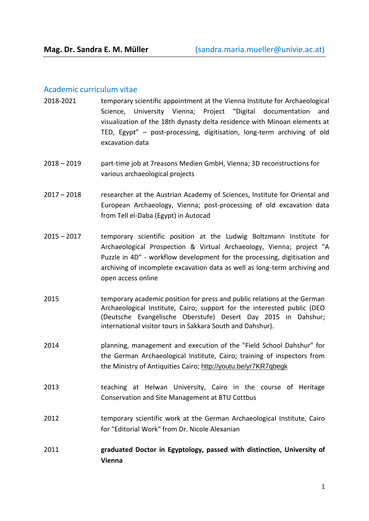## Academic curriculum vitae

- 2018-2021 temporary scientific appointment at the Vienna Institute for Archaeological Science, University Vienna; Project "Digital documentation and visualization of the 18th dynasty delta residence with Minoan elements at TED, Egypt" – post-processing, digitisation, long-term archiving of old excavation data
- 2018 2019 part-time job at 7reasons Medien GmbH, Vienna; 3D reconstructions for various archaeological projects
- 2017 2018 researcher at the Austrian Academy of Sciences, Institute for Oriental and European Archaeology, Vienna; post-processing of old excavation data from Tell el-Daba (Egypt) in Autocad
- 2015 2017 temporary scientific position at the Ludwig Boltzmann Institute for Archaeological Prospection & Virtual Archaeology, Vienna; project "A Puzzle in 4D" - workflow development for the processing, digitisation and archiving of incomplete excavation data as well as long-term archiving and open access online
- 2015 temporary academic position for press and public relations at the German Archaeological Institute, Cairo; support for the interested public (DEO (Deutsche Evangelische Oberstufe) Desert Day 2015 in Dahshur; international visitor tours in Sakkara South and Dahshur).
- 2014 planning, management and execution of the "Field School Dahshur" for the German Archaeological Institute, Cairo; training of inspectors from the Ministry of Antiquities Cairo; <http://youtu.be/yr7KR7qbegk>
- 2013 teaching at Helwan University, Cairo in the course of Heritage Conservation and Site Management at BTU Cottbus
- 2012 temporary scientific work at the German Archaeological Institute, Cairo for "Editorial Work" from Dr. Nicole Alexanian
- 2011 **graduated Doctor in Egyptology, passed with distinction, University of Vienna**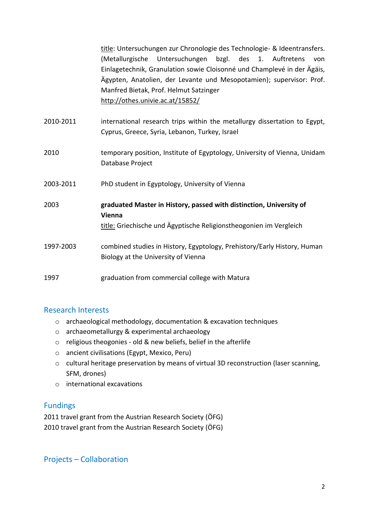title: Untersuchungen zur Chronologie des Technologie- & Ideentransfers. (Metallurgische Untersuchungen bzgl. des 1. Auftretens von Einlagetechnik, Granulation sowie Cloisonné und Champlevé in der Ägäis, Ägypten, Anatolien, der Levante und Mesopotamien); supervisor: Prof. Manfred Bietak, Prof. Helmut Satzinger <http://othes.univie.ac.at/15852/>

- 2010-2011 international research trips within the metallurgy dissertation to Egypt, Cyprus, Greece, Syria, Lebanon, Turkey, Israel
- 2010 temporary position, Institute of Egyptology, University of Vienna, Unidam Database Project
- 2003-2011 PhD student in Egyptology, University of Vienna

2003 **graduated Master in History, passed with distinction, University of Vienna** title: Griechische und Ägyptische Religionstheogonien im Vergleich 1997-2003 combined studies in History, Egyptology, Prehistory/Early History, Human

1997 graduation from commercial college with Matura

Biology at the University of Vienna

## Research Interests

- o archaeological methodology, documentation & excavation techniques
- o archaeometallurgy & experimental archaeology
- $\circ$  religious theogonies old & new beliefs, belief in the afterlife
- o ancient civilisations (Egypt, Mexico, Peru)
- o cultural heritage preservation by means of virtual 3D reconstruction (laser scanning, SFM, drones)
- o international excavations

## Fundings

2011 travel grant from the Austrian Research Society (ÖFG) 2010 travel grant from the Austrian Research Society (ÖFG)

Projects – Collaboration